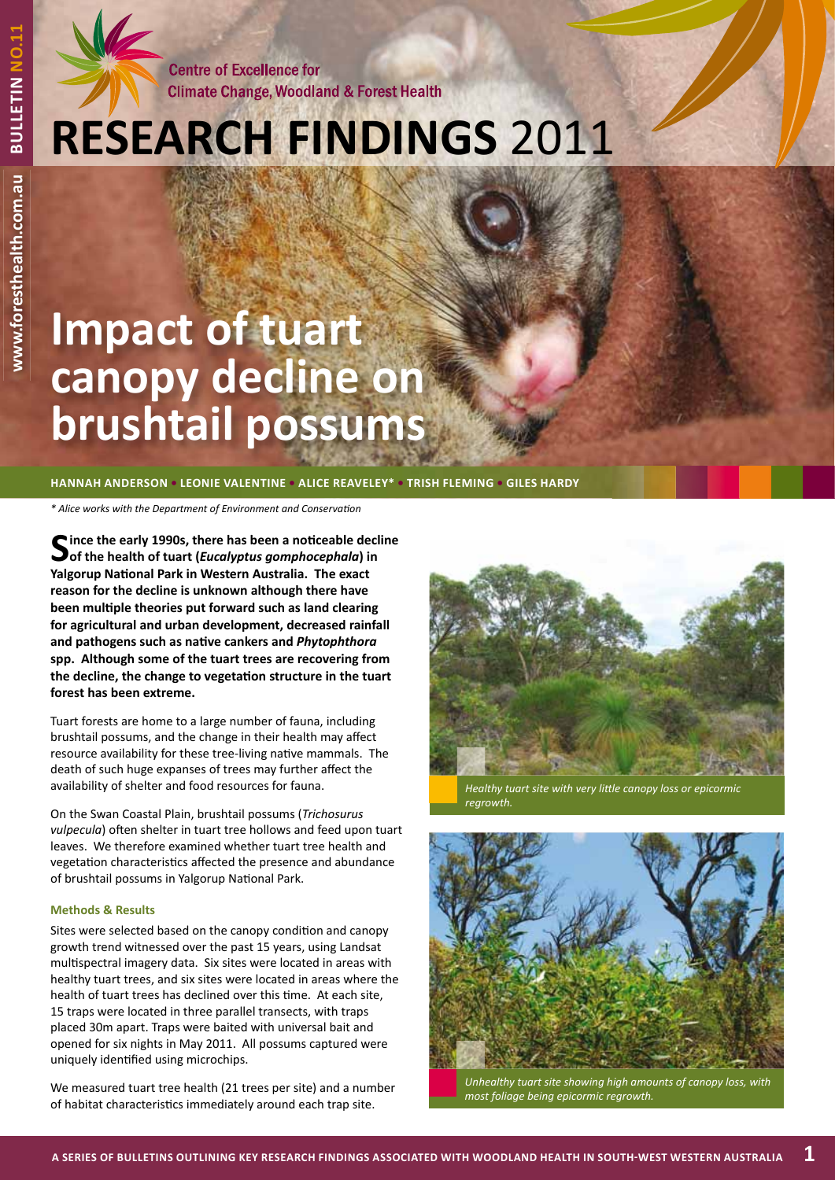**Centre of Excellence for Climate Change, Woodland & Forest Health** 

# **RESEARCH FINDINGS** 2011

# **Impact of tuart canopy decline on brushtail possums**

## **HANNAH ANDERSON • LEONIE VALENTINE • ALICE REAVELEY\* • TRISH FLEMING • GILES HARDY**

*\* Alice works with the Department of Environment and Conservati on*

Since the early 1990s, there has been a noticeable decline<br> **Sof the health of tuart (***Eucalyptus gomphocephala***)** in **Yalgorup National Park in Western Australia. The exact reason for the decline is unknown although there have been multiple theories put forward such as land clearing for agricultural and urban development, decreased rainfall**  and pathogens such as native cankers and *Phytophthora* **spp. Although some of the tuart trees are recovering from**  the decline, the change to vegetation structure in the tuart **forest has been extreme.** 

Tuart forests are home to a large number of fauna, including brushtail possums, and the change in their health may affect resource availability for these tree-living native mammals. The death of such huge expanses of trees may further affect the availability of shelter and food resources for fauna.

On the Swan Coastal Plain, brushtail possums (*Trichosurus vulpecula*) often shelter in tuart tree hollows and feed upon tuart leaves. We therefore examined whether tuart tree health and vegetation characteristics affected the presence and abundance of brushtail possums in Yalgorup National Park.

### **Methods & Results**

Sites were selected based on the canopy condition and canopy growth trend witnessed over the past 15 years, using Landsat multispectral imagery data. Six sites were located in areas with healthy tuart trees, and six sites were located in areas where the health of tuart trees has declined over this time. At each site, 15 traps were located in three parallel transects, with traps placed 30m apart. Traps were baited with universal bait and opened for six nights in May 2011. All possums captured were uniquely identified using microchips.

We measured tuart tree health (21 trees per site) and a number of habitat characteristics immediately around each trap site.



*Healthy tuart site with very little canopy loss or epicormic regrowth.*



*Unhealthy tuart site showing high amounts of canopy loss, with most foliage being epicormic regrowth.*